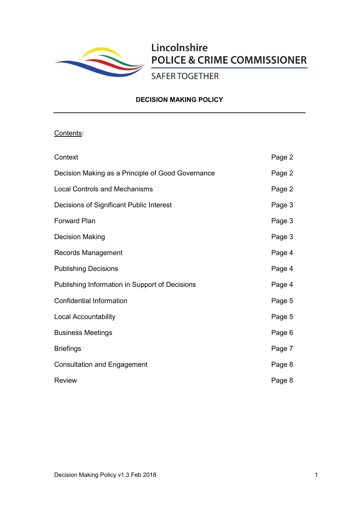

# Lincolnshire **POLICE & CRIME COMMISSIONER**

**SAFER TOGETHER** 

# **DECISION MAKING POLICY**

# Contents:

| Context                                           | Page 2 |
|---------------------------------------------------|--------|
| Decision Making as a Principle of Good Governance | Page 2 |
| <b>Local Controls and Mechanisms</b>              | Page 2 |
| Decisions of Significant Public Interest          | Page 3 |
| <b>Forward Plan</b>                               | Page 3 |
| <b>Decision Making</b>                            | Page 3 |
| Records Management                                | Page 4 |
| <b>Publishing Decisions</b>                       | Page 4 |
| Publishing Information in Support of Decisions    | Page 4 |
| <b>Confidential Information</b>                   | Page 5 |
| <b>Local Accountability</b>                       | Page 5 |
| <b>Business Meetings</b>                          | Page 6 |
| <b>Briefings</b>                                  | Page 7 |
| <b>Consultation and Engagement</b>                | Page 8 |
| <b>Review</b>                                     | Page 8 |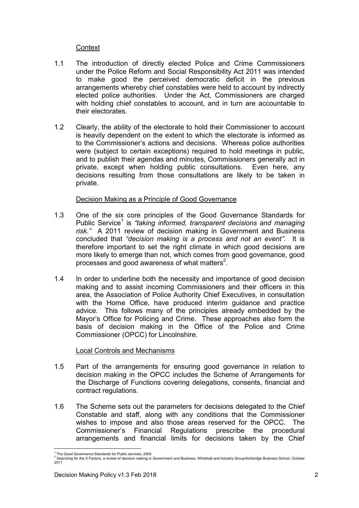# **Context**

- 1.1 The introduction of directly elected Police and Crime Commissioners under the Police Reform and Social Responsibility Act 2011 was intended to make good the perceived democratic deficit in the previous arrangements whereby chief constables were held to account by indirectly elected police authorities. Under the Act, Commissioners are charged with holding chief constables to account, and in turn are accountable to their electorates.
- 1.2 Clearly, the ability of the electorate to hold their Commissioner to account is heavily dependent on the extent to which the electorate is informed as to the Commissioner's actions and decisions. Whereas police authorities were (subject to certain exceptions) required to hold meetings in public, and to publish their agendas and minutes, Commissioners generally act in private, except when holding public consultations. Even here, any decisions resulting from those consultations are likely to be taken in private.

# Decision Making as a Principle of Good Governance

- 1.3 One of the six core principles of the Good Governance Standards for Public Service<sup>1</sup> is *"taking informed, transparent decisions and managing risk."* A 2011 review of decision making in Government and Business concluded that *"decision making is a process and not an event"*. It is therefore important to set the right climate in which good decisions are more likely to emerge than not, which comes from good governance, good processes and good awareness of what matters $2$ .
- 1.4 In order to underline both the necessity and importance of good decision making and to assist incoming Commissioners and their officers in this area, the Association of Police Authority Chief Executives, in consultation with the Home Office, have produced interim guidance and practice advice. This follows many of the principles already embedded by the Mayor's Office for Policing and Crime. These approaches also form the basis of decision making in the Office of the Police and Crime Commissioner (OPCC) for Lincolnshire.

# Local Controls and Mechanisms

- 1.5 Part of the arrangements for ensuring good governance in relation to decision making in the OPCC includes the Scheme of Arrangements for the Discharge of Functions covering delegations, consents, financial and contract regulations.
- 1.6 The Scheme sets out the parameters for decisions delegated to the Chief Constable and staff, along with any conditions that the Commissioner wishes to impose and also those areas reserved for the OPCC. The Commissioner's Financial Regulations prescribe the procedural arrangements and financial limits for decisions taken by the Chief

<sup>&</sup>lt;sup>1</sup> The Good Governance Standards for Public services, 2005<br><sup>2</sup> Searching for the X Factors, a review of decision making in Government and Business, Whitehall and Industry Group/Ashbridge Business School, October 2011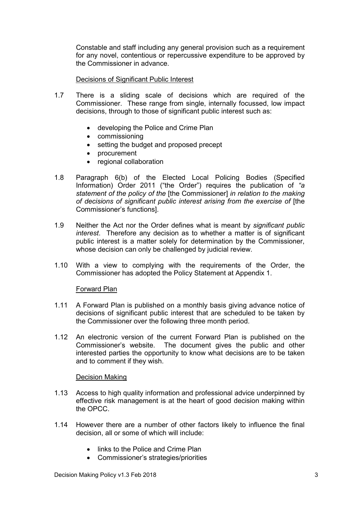Constable and staff including any general provision such as a requirement for any novel, contentious or repercussive expenditure to be approved by the Commissioner in advance.

# Decisions of Significant Public Interest

- 1.7 There is a sliding scale of decisions which are required of the Commissioner. These range from single, internally focussed, low impact decisions, through to those of significant public interest such as:
	- developing the Police and Crime Plan
	- commissioning
	- setting the budget and proposed precept
	- procurement
	- regional collaboration
- 1.8 Paragraph 6(b) of the Elected Local Policing Bodies (Specified Information) Order 2011 ("the Order") requires the publication of *"a statement of the policy of the* [the Commissioner] *in relation to the making of decisions of significant public interest arising from the exercise of* [the Commissioner's functions].
- 1.9 Neither the Act nor the Order defines what is meant by *significant public interest*. Therefore any decision as to whether a matter is of significant public interest is a matter solely for determination by the Commissioner, whose decision can only be challenged by judicial review.
- 1.10 With a view to complying with the requirements of the Order, the Commissioner has adopted the Policy Statement at Appendix 1.

# Forward Plan

- 1.11 A Forward Plan is published on a monthly basis giving advance notice of decisions of significant public interest that are scheduled to be taken by the Commissioner over the following three month period.
- 1.12 An electronic version of the current Forward Plan is published on the Commissioner's website. The document gives the public and other interested parties the opportunity to know what decisions are to be taken and to comment if they wish.

# Decision Making

- 1.13 Access to high quality information and professional advice underpinned by effective risk management is at the heart of good decision making within the OPCC.
- 1.14 However there are a number of other factors likely to influence the final decision, all or some of which will include:
	- links to the Police and Crime Plan
	- Commissioner's strategies/priorities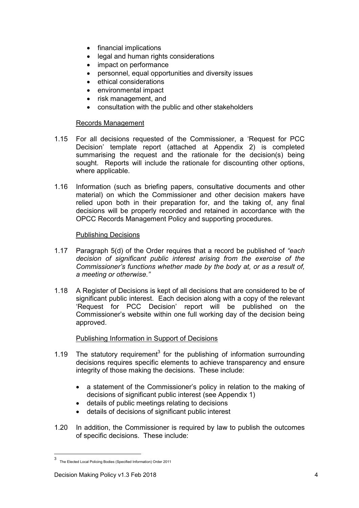- financial implications
- legal and human rights considerations
- impact on performance
- personnel, equal opportunities and diversity issues
- ethical considerations
- environmental impact
- risk management, and
- consultation with the public and other stakeholders

# Records Management

- 1.15 For all decisions requested of the Commissioner, a 'Request for PCC Decision' template report (attached at Appendix 2) is completed summarising the request and the rationale for the decision(s) being sought. Reports will include the rationale for discounting other options, where applicable.
- 1.16 Information (such as briefing papers, consultative documents and other material) on which the Commissioner and other decision makers have relied upon both in their preparation for, and the taking of, any final decisions will be properly recorded and retained in accordance with the OPCC Records Management Policy and supporting procedures.

# Publishing Decisions

- 1.17 Paragraph 5(d) of the Order requires that a record be published of *"each decision of significant public interest arising from the exercise of the Commissioner's functions whether made by the body at, or as a result of, a meeting or otherwise."*
- 1.18 A Register of Decisions is kept of all decisions that are considered to be of significant public interest. Each decision along with a copy of the relevant 'Request for PCC Decision' report will be published on the Commissioner's website within one full working day of the decision being approved.

# Publishing Information in Support of Decisions

- 1.19 The statutory requirement<sup>3</sup> for the publishing of information surrounding decisions requires specific elements to achieve transparency and ensure integrity of those making the decisions. These include:
	- a statement of the Commissioner's policy in relation to the making of decisions of significant public interest (see Appendix 1)
	- details of public meetings relating to decisions
	- details of decisions of significant public interest
- 1.20 In addition, the Commissioner is required by law to publish the outcomes of specific decisions. These include:

3 The Elected Local Policing Bodies (Specified Information) Order 2011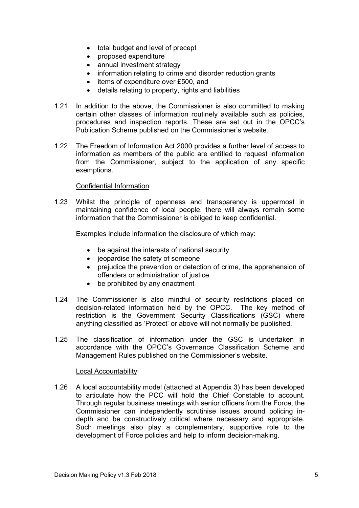- total budget and level of precept
- proposed expenditure
- annual investment strategy
- information relating to crime and disorder reduction grants
- $\bullet$  items of expenditure over £500, and
- details relating to property, rights and liabilities
- 1.21 In addition to the above, the Commissioner is also committed to making certain other classes of information routinely available such as policies, procedures and inspection reports. These are set out in the OPCC's Publication Scheme published on the Commissioner's website.
- 1.22 The Freedom of Information Act 2000 provides a further level of access to information as members of the public are entitled to request information from the Commissioner, subject to the application of any specific exemptions.

# Confidential Information

1.23 Whilst the principle of openness and transparency is uppermost in maintaining confidence of local people, there will always remain some information that the Commissioner is obliged to keep confidential.

Examples include information the disclosure of which may:

- be against the interests of national security
- jeopardise the safety of someone
- prejudice the prevention or detection of crime, the apprehension of offenders or administration of justice
- be prohibited by any enactment
- 1.24 The Commissioner is also mindful of security restrictions placed on decision-related information held by the OPCC. The key method of restriction is the Government Security Classifications (GSC) where anything classified as 'Protect' or above will not normally be published.
- 1.25 The classification of information under the GSC is undertaken in accordance with the OPCC's Governance Classification Scheme and Management Rules published on the Commissioner's website.

# Local Accountability

1.26 A local accountability model (attached at Appendix 3) has been developed to articulate how the PCC will hold the Chief Constable to account. Through regular business meetings with senior officers from the Force, the Commissioner can independently scrutinise issues around policing indepth and be constructively critical where necessary and appropriate. Such meetings also play a complementary, supportive role to the development of Force policies and help to inform decision-making.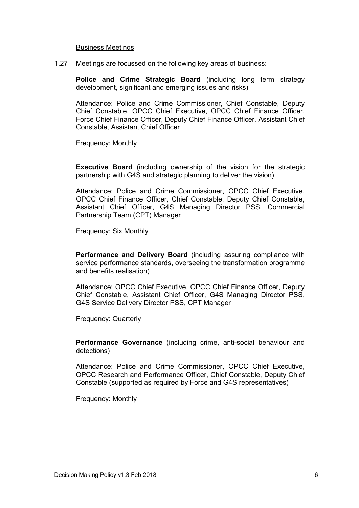#### Business Meetings

1.27 Meetings are focussed on the following key areas of business:

**Police and Crime Strategic Board** (including long term strategy development, significant and emerging issues and risks)

Attendance: Police and Crime Commissioner, Chief Constable, Deputy Chief Constable, OPCC Chief Executive, OPCC Chief Finance Officer, Force Chief Finance Officer, Deputy Chief Finance Officer, Assistant Chief Constable, Assistant Chief Officer

Frequency: Monthly

**Executive Board** (including ownership of the vision for the strategic partnership with G4S and strategic planning to deliver the vision)

Attendance: Police and Crime Commissioner, OPCC Chief Executive, OPCC Chief Finance Officer, Chief Constable, Deputy Chief Constable, Assistant Chief Officer, G4S Managing Director PSS, Commercial Partnership Team (CPT) Manager

Frequency: Six Monthly

**Performance and Delivery Board** (including assuring compliance with service performance standards, overseeing the transformation programme and benefits realisation)

Attendance: OPCC Chief Executive, OPCC Chief Finance Officer, Deputy Chief Constable, Assistant Chief Officer, G4S Managing Director PSS, G4S Service Delivery Director PSS, CPT Manager

Frequency: Quarterly

**Performance Governance** (including crime, anti-social behaviour and detections)

Attendance: Police and Crime Commissioner, OPCC Chief Executive, OPCC Research and Performance Officer, Chief Constable, Deputy Chief Constable (supported as required by Force and G4S representatives)

Frequency: Monthly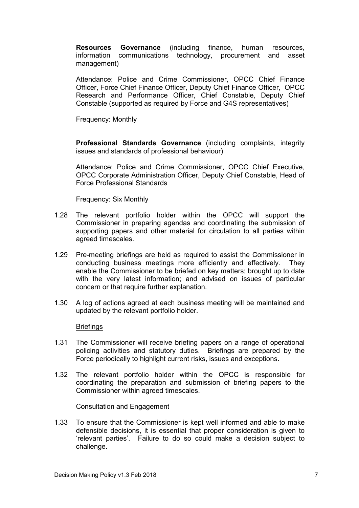**Resources Governance** (including finance, human resources, information communications technology, procurement and asset management)

Attendance: Police and Crime Commissioner, OPCC Chief Finance Officer, Force Chief Finance Officer, Deputy Chief Finance Officer, OPCC Research and Performance Officer, Chief Constable, Deputy Chief Constable (supported as required by Force and G4S representatives)

Frequency: Monthly

**Professional Standards Governance** (including complaints, integrity issues and standards of professional behaviour)

Attendance: Police and Crime Commissioner, OPCC Chief Executive, OPCC Corporate Administration Officer, Deputy Chief Constable, Head of Force Professional Standards

Frequency: Six Monthly

- 1.28 The relevant portfolio holder within the OPCC will support the Commissioner in preparing agendas and coordinating the submission of supporting papers and other material for circulation to all parties within agreed timescales.
- 1.29 Pre-meeting briefings are held as required to assist the Commissioner in conducting business meetings more efficiently and effectively. They enable the Commissioner to be briefed on key matters; brought up to date with the very latest information; and advised on issues of particular concern or that require further explanation.
- 1.30 A log of actions agreed at each business meeting will be maintained and updated by the relevant portfolio holder.

# **Briefings**

- 1.31 The Commissioner will receive briefing papers on a range of operational policing activities and statutory duties. Briefings are prepared by the Force periodically to highlight current risks, issues and exceptions.
- 1.32 The relevant portfolio holder within the OPCC is responsible for coordinating the preparation and submission of briefing papers to the Commissioner within agreed timescales.

Consultation and Engagement

1.33 To ensure that the Commissioner is kept well informed and able to make defensible decisions, it is essential that proper consideration is given to 'relevant parties'. Failure to do so could make a decision subject to challenge.